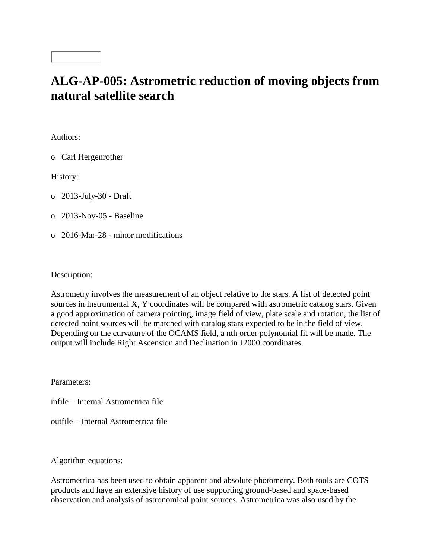## **ALG-AP-005: Astrometric reduction of moving objects from natural satellite search**

Authors:

o Carl Hergenrother

History:

o 2013-July-30 - Draft

o 2013-Nov-05 - Baseline

o 2016-Mar-28 - minor modifications

Description:

Astrometry involves the measurement of an object relative to the stars. A list of detected point sources in instrumental X, Y coordinates will be compared with astrometric catalog stars. Given a good approximation of camera pointing, image field of view, plate scale and rotation, the list of detected point sources will be matched with catalog stars expected to be in the field of view. Depending on the curvature of the OCAMS field, a nth order polynomial fit will be made. The output will include Right Ascension and Declination in J2000 coordinates.

Parameters:

infile – Internal Astrometrica file

outfile – Internal Astrometrica file

Algorithm equations:

Astrometrica has been used to obtain apparent and absolute photometry. Both tools are COTS products and have an extensive history of use supporting ground-based and space-based observation and analysis of astronomical point sources. Astrometrica was also used by the